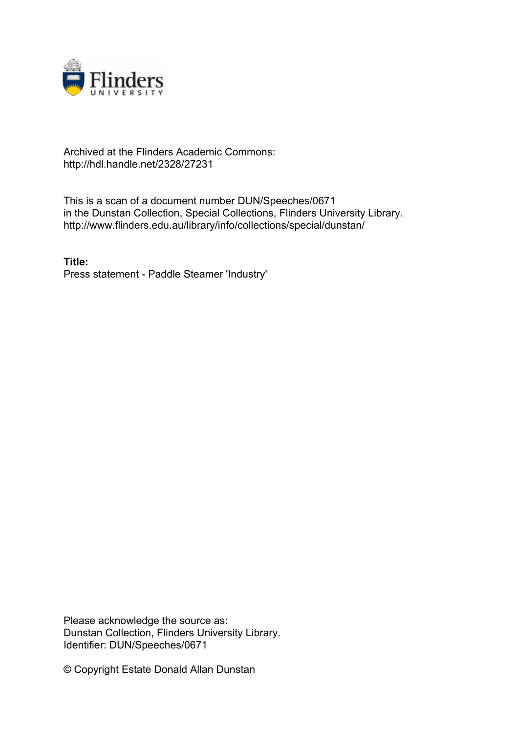

## Archived at the Flinders Academic Commons: http://hdl.handle.net/2328/27231

This is a scan of a document number DUN/Speeches/0671 in the Dunstan Collection, Special Collections, Flinders University Library. http://www.flinders.edu.au/library/info/collections/special/dunstan/

**Title:** Press statement - Paddle Steamer 'Industry'

Please acknowledge the source as: Dunstan Collection, Flinders University Library. Identifier: DUN/Speeches/0671

© Copyright Estate Donald Allan Dunstan